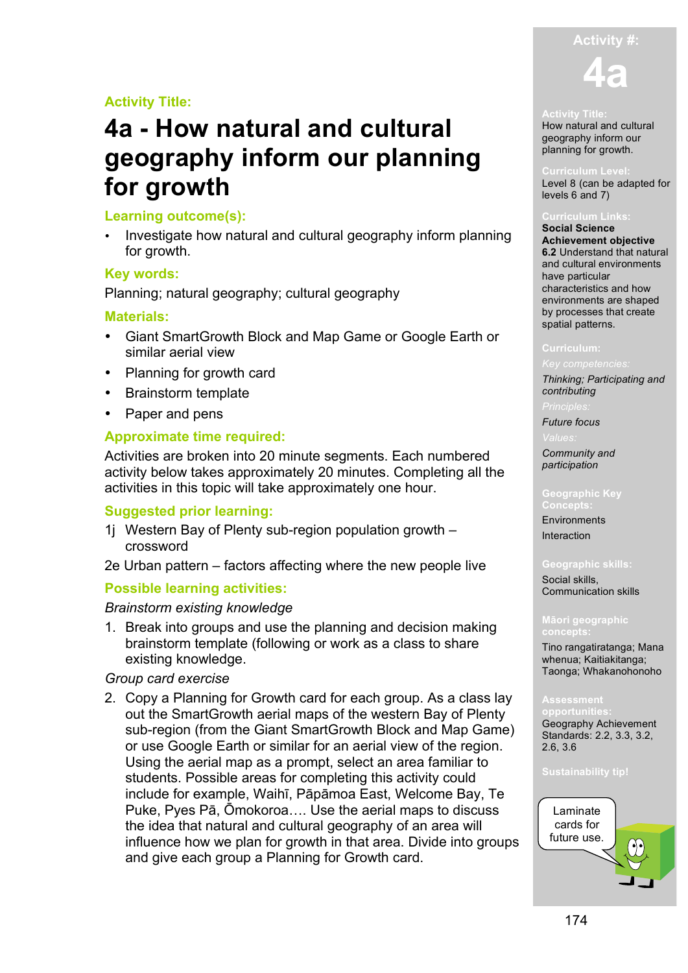# **Activity #:**

**4a**

# **Activity Title:**

# **4a - How natural and cultural geography inform our planning for growth**

# **Learning outcome(s):**

• Investigate how natural and cultural geography inform planning for growth.

# **Key words:**

Planning; natural geography; cultural geography

# **Materials:**

- Giant SmartGrowth Block and Map Game or Google Earth or similar aerial view
- Planning for growth card
- Brainstorm template
- Paper and pens

# **Approximate time required:**

Activities are broken into 20 minute segments. Each numbered activity below takes approximately 20 minutes. Completing all the activities in this topic will take approximately one hour.

# **Suggested prior learning:**

- 1j Western Bay of Plenty sub-region population growth crossword
- 2e Urban pattern factors affecting where the new people live

# **Possible learning activities:**

## *Brainstorm existing knowledge*

1. Break into groups and use the planning and decision making brainstorm template (following or work as a class to share existing knowledge.

# *Group card exercise*

2. Copy a Planning for Growth card for each group. As a class lay out the SmartGrowth aerial maps of the western Bay of Plenty sub-region (from the Giant SmartGrowth Block and Map Game) or use Google Earth or similar for an aerial view of the region. Using the aerial map as a prompt, select an area familiar to students. Possible areas for completing this activity could include for example, Waihī, Pāpāmoa East, Welcome Bay, Te Puke, Pyes Pā, Ōmokoroa…. Use the aerial maps to discuss the idea that natural and cultural geography of an area will influence how we plan for growth in that area. Divide into groups and give each group a Planning for Growth card.



How natural and cultural geography inform our planning for growth.

### **Curriculum Level:**

Level 8 (can be adapted for levels 6 and 7)

### **Curriculum Links:**

**Social Science Achievement objective 6.2** Understand that natural and cultural environments have particular characteristics and how environments are shaped by processes that create spatial patterns.

*Thinking; Participating and contributing*

*Future focus*

*Community and participation*

**Environments** Interaction

### **Geographic skills:**

Social skills, Communication skills

### **Māori geographic concepts:**

Tino rangatiratanga; Mana whenua; Kaitiakitanga; Taonga; Whakanohonoho

**opportunities:** Geography Achievement Standards: 2.2, 3.3, 3.2, 2.6, 3.6